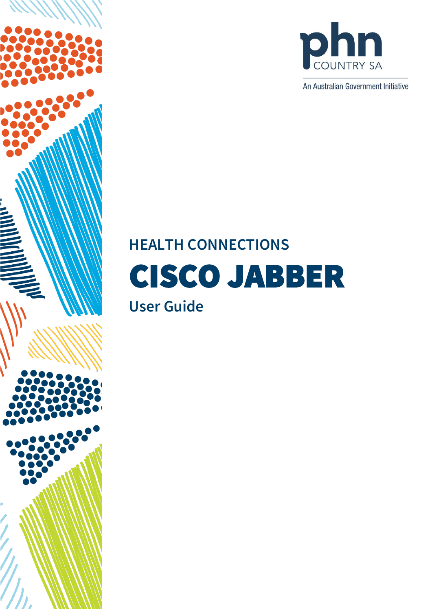



An Australian Government Initiative

# **HEALTH CONNECTIONS**  CISCO JABBER

# **User Guide**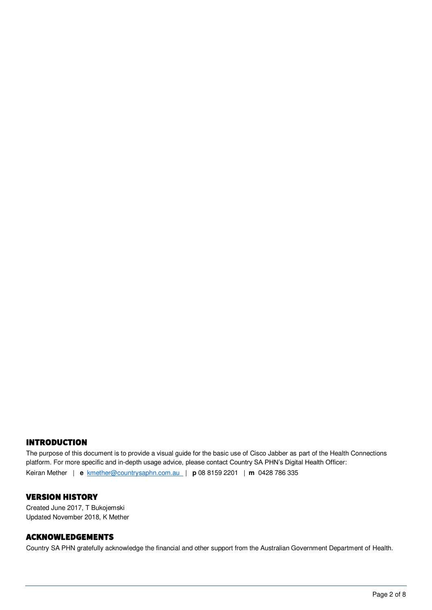#### INTRODUCTION

The purpose of this document is to provide a visual guide for the basic use of Cisco Jabber as part of the Health Connections platform. For more specific and in-depth usage advice, please contact Country SA PHN's Digital Health Officer: Keiran Mether | **e** [kmether@countrysaphn.com.au](mailto:kmether@countrysaphn.com.au) | **p** 08 8159 2201 | **m** 0428 786 335

#### VERSION HISTORY

Created June 2017, T Bukojemski Updated November 2018, K Mether

#### ACKNOWLEDGEMENTS

Country SA PHN gratefully acknowledge the financial and other support from the Australian Government Department of Health.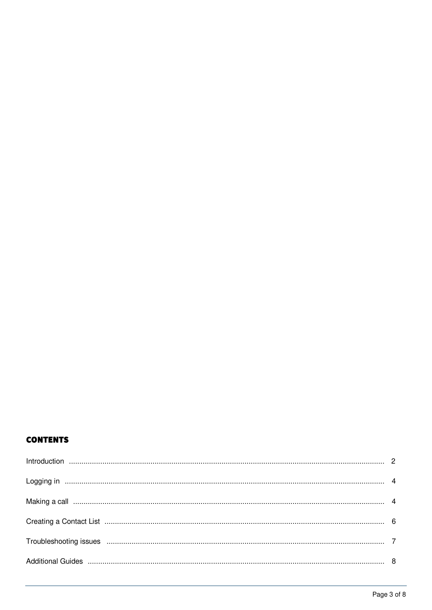# **CONTENTS**

| Logging in www.communications.communications.com/internations.com/internations.com/internations.com/internation |  |
|-----------------------------------------------------------------------------------------------------------------|--|
|                                                                                                                 |  |
|                                                                                                                 |  |
|                                                                                                                 |  |
|                                                                                                                 |  |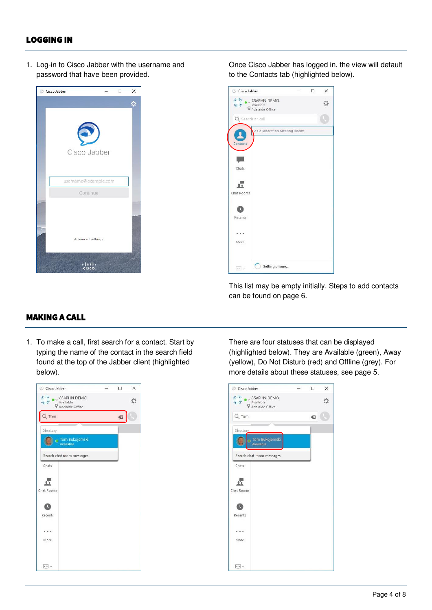# LOGGING IN

1. Log-in to Cisco Jabber with the username and password that have been provided.



Once Cisco Jabber has logged in, the view will default to the Contacts tab (highlighted below).



This list may be empty initially. Steps to add contacts can be found on page 6.

# MAKING A CALL

1. To make a call, first search for a contact. Start by typing the name of the contact in the search field found at the top of the Jabber client (highlighted below).



There are four statuses that can be displayed (highlighted below). They are Available (green), Away (yellow), Do Not Disturb (red) and Offline (grey). For more details about these statuses, see page 5.

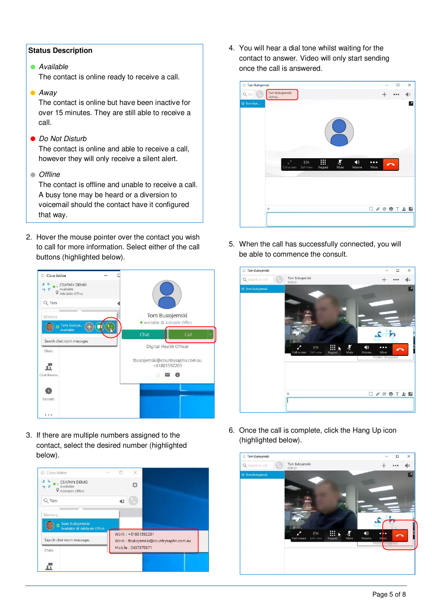#### **Status Description**

**Available** 

The contact is online ready to receive a call.

**•** Away

The contact is online but have been inactive for over 15 minutes. They are still able to receive a call.

● Do Not Disturb

The contact is online and able to receive a call, however they will only receive a silent alert.

• Offline

The contact is offline and unable to receive a call. A busy tone may be heard or a diversion to voicemail should the contact have it configured that way.

2. Hover the mouse pointer over the contact you wish to call for more information. Select either of the call buttons (highlighted below).



3. If there are multiple numbers assigned to the contact, select the desired number (highlighted below).



4. You will hear a dial tone whilst waiting for the contact to answer. Video will only start sending once the call is answered.



5. When the call has successfully connected, you will be able to commence the consult.



6. Once the call is complete, click the Hang Up icon (highlighted below).

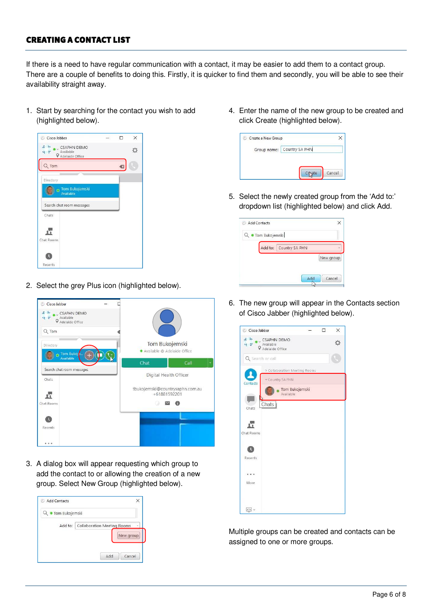# CREATING A CONTACT LIST

If there is a need to have regular communication with a contact, it may be easier to add them to a contact group. There are a couple of benefits to doing this. Firstly, it is quicker to find them and secondly, you will be able to see their availability straight away.

1. Start by searching for the contact you wish to add (highlighted below).



2. Select the grey Plus icon (highlighted below).



3. A dialog box will appear requesting which group to add the contact to or allowing the creation of a new group. Select New Group (highlighted below).

| Tom Bukojemski                                |  |
|-----------------------------------------------|--|
|                                               |  |
| Add to:<br><b>Collaboration Meeting Rooms</b> |  |
| New group                                     |  |
|                                               |  |

4. Enter the name of the new group to be created and click Create (highlighted below).

| Group name: | Country SA PHN |
|-------------|----------------|
|             |                |
|             |                |
|             |                |
|             |                |

5. Select the newly created group from the 'Add to:' dropdown list (highlighted below) and click Add.

| Q · Tom Bukojemski |                |
|--------------------|----------------|
| Add to:            | Country SA PHN |
|                    | New group      |
|                    |                |

6. The new group will appear in the Contacts section of Cisco Jabber (highlighted below).



Multiple groups can be created and contacts can be assigned to one or more groups.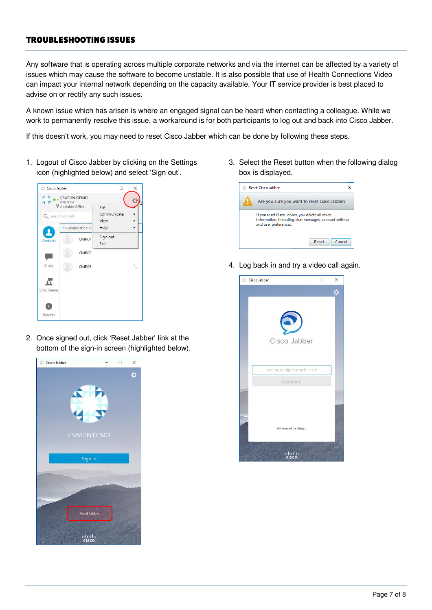# TROUBLESHOOTING ISSUES

Any software that is operating across multiple corporate networks and via the internet can be affected by a variety of issues which may cause the software to become unstable. It is also possible that use of Health Connections Video can impact your internal network depending on the capacity available. Your IT service provider is best placed to advise on or rectify any such issues.

A known issue which has arisen is where an engaged signal can be heard when contacting a colleague. While we work to permanently resolve this issue, a workaround is for both participants to log out and back into Cisco Jabber.

If this doesn't work, you may need to reset Cisco Jabber which can be done by following these steps.

1. Logout of Cisco Jabber by clicking on the Settings icon (highlighted below) and select 'Sign out'.



2. Once signed out, click 'Reset Jabber' link at the bottom of the sign-in screen (highlighted below).



3. Select the Reset button when the following dialog box is displayed.



4. Log back in and try a video call again.